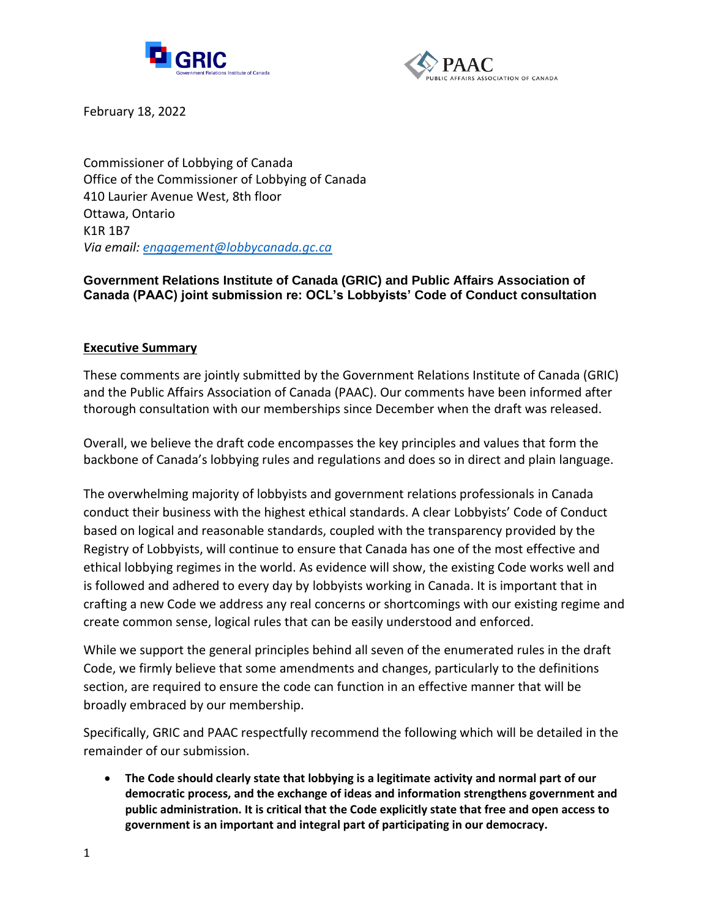



February 18, 2022

Commissioner of Lobbying of Canada Office of the Commissioner of Lobbying of Canada 410 Laurier Avenue West, 8th floor Ottawa, Ontario K1R 1B7 *Via email: [engagement@lobbycanada.gc.ca](mailto:engagement@lobbycanada.gc.ca)*

## **Government Relations Institute of Canada (GRIC) and Public Affairs Association of Canada (PAAC) joint submission re: OCL's Lobbyists' Code of Conduct consultation**

### **Executive Summary**

These comments are jointly submitted by the Government Relations Institute of Canada (GRIC) and the Public Affairs Association of Canada (PAAC). Our comments have been informed after thorough consultation with our memberships since December when the draft was released.

Overall, we believe the draft code encompasses the key principles and values that form the backbone of Canada's lobbying rules and regulations and does so in direct and plain language.

The overwhelming majority of lobbyists and government relations professionals in Canada conduct their business with the highest ethical standards. A clear Lobbyists' Code of Conduct based on logical and reasonable standards, coupled with the transparency provided by the Registry of Lobbyists, will continue to ensure that Canada has one of the most effective and ethical lobbying regimes in the world. As evidence will show, the existing Code works well and is followed and adhered to every day by lobbyists working in Canada. It is important that in crafting a new Code we address any real concerns or shortcomings with our existing regime and create common sense, logical rules that can be easily understood and enforced.

While we support the general principles behind all seven of the enumerated rules in the draft Code, we firmly believe that some amendments and changes, particularly to the definitions section, are required to ensure the code can function in an effective manner that will be broadly embraced by our membership.

Specifically, GRIC and PAAC respectfully recommend the following which will be detailed in the remainder of our submission.

• **The Code should clearly state that lobbying is a legitimate activity and normal part of our democratic process, and the exchange of ideas and information strengthens government and public administration. It is critical that the Code explicitly state that free and open access to government is an important and integral part of participating in our democracy.**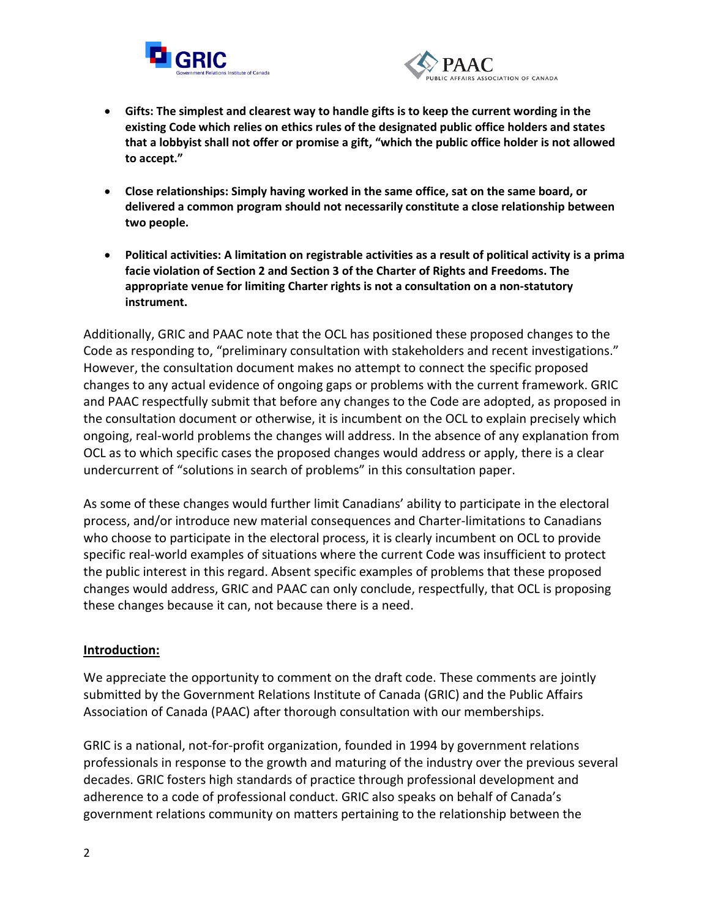



- **Gifts: The simplest and clearest way to handle gifts is to keep the current wording in the existing Code which relies on ethics rules of the designated public office holders and states that a lobbyist shall not offer or promise a gift, "which the public office holder is not allowed to accept."**
- **Close relationships: Simply having worked in the same office, sat on the same board, or delivered a common program should not necessarily constitute a close relationship between two people.**
- **Political activities: A limitation on registrable activities as a result of political activity is a prima facie violation of Section 2 and Section 3 of the Charter of Rights and Freedoms. The appropriate venue for limiting Charter rights is not a consultation on a non-statutory instrument.**

Additionally, GRIC and PAAC note that the OCL has positioned these proposed changes to the Code as responding to, "preliminary consultation with stakeholders and recent investigations." However, the consultation document makes no attempt to connect the specific proposed changes to any actual evidence of ongoing gaps or problems with the current framework. GRIC and PAAC respectfully submit that before any changes to the Code are adopted, as proposed in the consultation document or otherwise, it is incumbent on the OCL to explain precisely which ongoing, real-world problems the changes will address. In the absence of any explanation from OCL as to which specific cases the proposed changes would address or apply, there is a clear undercurrent of "solutions in search of problems" in this consultation paper.

As some of these changes would further limit Canadians' ability to participate in the electoral process, and/or introduce new material consequences and Charter-limitations to Canadians who choose to participate in the electoral process, it is clearly incumbent on OCL to provide specific real-world examples of situations where the current Code was insufficient to protect the public interest in this regard. Absent specific examples of problems that these proposed changes would address, GRIC and PAAC can only conclude, respectfully, that OCL is proposing these changes because it can, not because there is a need.

### **Introduction:**

We appreciate the opportunity to comment on the draft code. These comments are jointly submitted by the Government Relations Institute of Canada (GRIC) and the Public Affairs Association of Canada (PAAC) after thorough consultation with our memberships.

GRIC is a national, not-for-profit organization, founded in 1994 by government relations professionals in response to the growth and maturing of the industry over the previous several decades. GRIC fosters high standards of practice through professional development and adherence to a code of professional conduct. GRIC also speaks on behalf of Canada's government relations community on matters pertaining to the relationship between the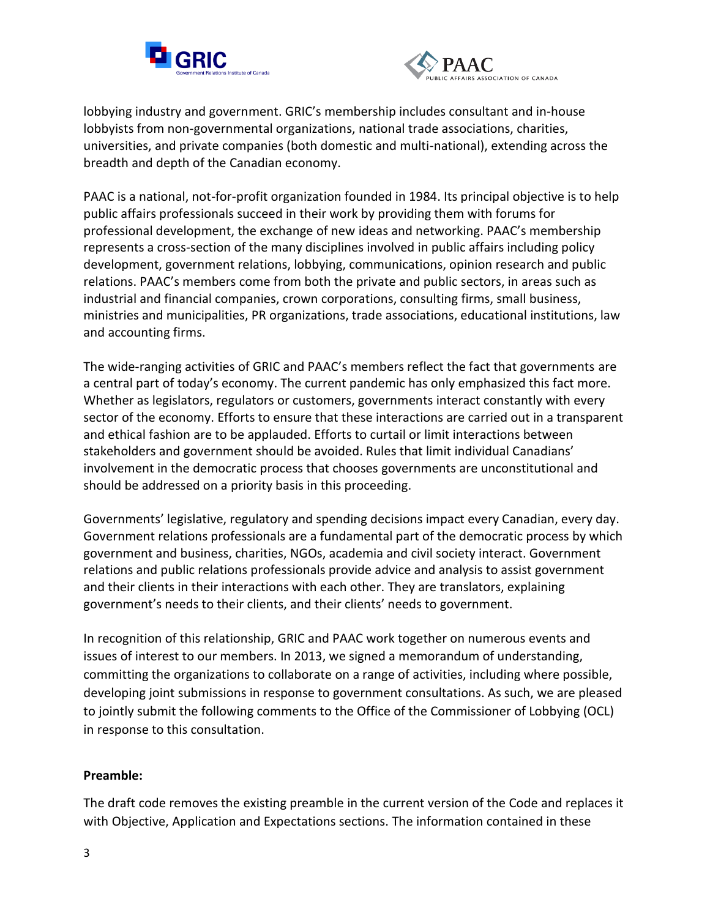



lobbying industry and government. GRIC's membership includes consultant and in-house lobbyists from non-governmental organizations, national trade associations, charities, universities, and private companies (both domestic and multi-national), extending across the breadth and depth of the Canadian economy.

PAAC is a national, not-for-profit organization founded in 1984. Its principal objective is to help public affairs professionals succeed in their work by providing them with forums for professional development, the exchange of new ideas and networking. PAAC's membership represents a cross-section of the many disciplines involved in public affairs including policy development, government relations, lobbying, communications, opinion research and public relations. PAAC's members come from both the private and public sectors, in areas such as industrial and financial companies, crown corporations, consulting firms, small business, ministries and municipalities, PR organizations, trade associations, educational institutions, law and accounting firms.

The wide-ranging activities of GRIC and PAAC's members reflect the fact that governments are a central part of today's economy. The current pandemic has only emphasized this fact more. Whether as legislators, regulators or customers, governments interact constantly with every sector of the economy. Efforts to ensure that these interactions are carried out in a transparent and ethical fashion are to be applauded. Efforts to curtail or limit interactions between stakeholders and government should be avoided. Rules that limit individual Canadians' involvement in the democratic process that chooses governments are unconstitutional and should be addressed on a priority basis in this proceeding.

Governments' legislative, regulatory and spending decisions impact every Canadian, every day. Government relations professionals are a fundamental part of the democratic process by which government and business, charities, NGOs, academia and civil society interact. Government relations and public relations professionals provide advice and analysis to assist government and their clients in their interactions with each other. They are translators, explaining government's needs to their clients, and their clients' needs to government.

In recognition of this relationship, GRIC and PAAC work together on numerous events and issues of interest to our members. In 2013, we signed a memorandum of understanding, committing the organizations to collaborate on a range of activities, including where possible, developing joint submissions in response to government consultations. As such, we are pleased to jointly submit the following comments to the Office of the Commissioner of Lobbying (OCL) in response to this consultation.

### **Preamble:**

The draft code removes the existing preamble in the current version of the Code and replaces it with Objective, Application and Expectations sections. The information contained in these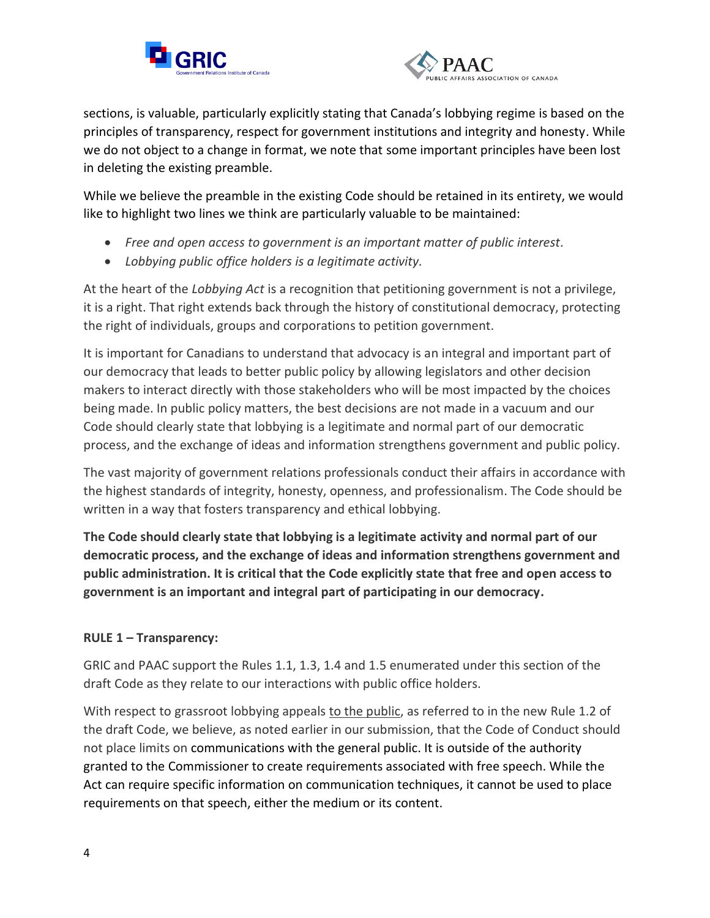



sections, is valuable, particularly explicitly stating that Canada's lobbying regime is based on the principles of transparency, respect for government institutions and integrity and honesty. While we do not object to a change in format, we note that some important principles have been lost in deleting the existing preamble.

While we believe the preamble in the existing Code should be retained in its entirety, we would like to highlight two lines we think are particularly valuable to be maintained:

- *Free and open access to government is an important matter of public interest.*
- *Lobbying public office holders is a legitimate activity.*

At the heart of the *Lobbying Act* is a recognition that petitioning government is not a privilege, it is a right. That right extends back through the history of constitutional democracy, protecting the right of individuals, groups and corporations to petition government.

It is important for Canadians to understand that advocacy is an integral and important part of our democracy that leads to better public policy by allowing legislators and other decision makers to interact directly with those stakeholders who will be most impacted by the choices being made. In public policy matters, the best decisions are not made in a vacuum and our Code should clearly state that lobbying is a legitimate and normal part of our democratic process, and the exchange of ideas and information strengthens government and public policy.

The vast majority of government relations professionals conduct their affairs in accordance with the highest standards of integrity, honesty, openness, and professionalism. The Code should be written in a way that fosters transparency and ethical lobbying.

**The Code should clearly state that lobbying is a legitimate activity and normal part of our democratic process, and the exchange of ideas and information strengthens government and public administration. It is critical that the Code explicitly state that free and open access to government is an important and integral part of participating in our democracy.** 

# **RULE 1 – Transparency:**

GRIC and PAAC support the Rules 1.1, 1.3, 1.4 and 1.5 enumerated under this section of the draft Code as they relate to our interactions with public office holders.

With respect to grassroot lobbying appeals to the public, as referred to in the new Rule 1.2 of the draft Code, we believe, as noted earlier in our submission, that the Code of Conduct should not place limits on communications with the general public. It is outside of the authority granted to the Commissioner to create requirements associated with free speech. While the Act can require specific information on communication techniques, it cannot be used to place requirements on that speech, either the medium or its content.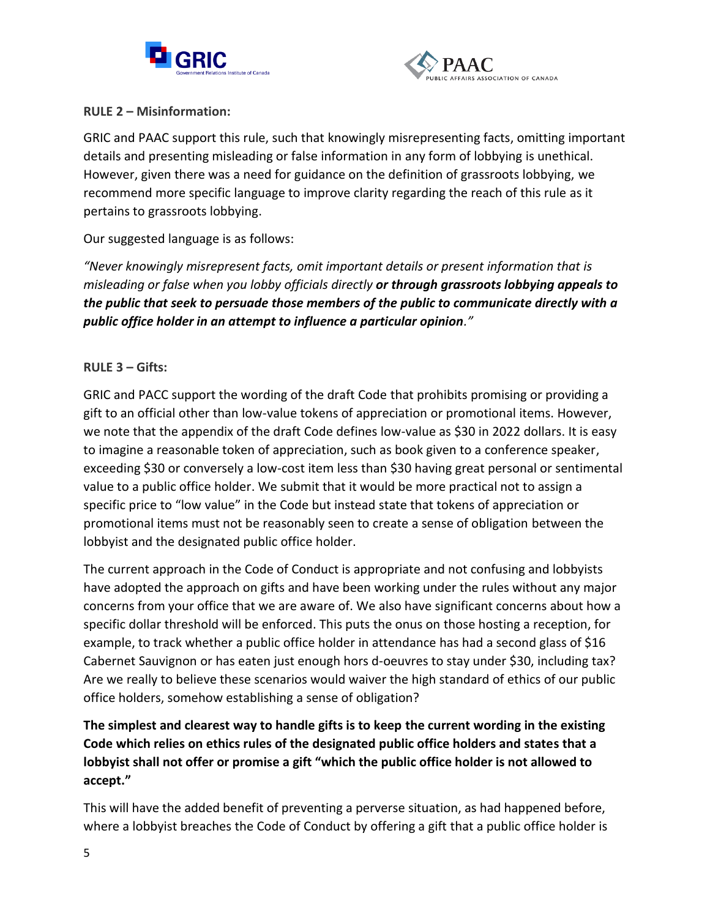



## **RULE 2 – Misinformation:**

GRIC and PAAC support this rule, such that knowingly misrepresenting facts, omitting important details and presenting misleading or false information in any form of lobbying is unethical. However, given there was a need for guidance on the definition of grassroots lobbying, we recommend more specific language to improve clarity regarding the reach of this rule as it pertains to grassroots lobbying.

Our suggested language is as follows:

*"Never knowingly misrepresent facts, omit important details or present information that is misleading or false when you lobby officials directly or through grassroots lobbying appeals to the public that seek to persuade those members of the public to communicate directly with a public office holder in an attempt to influence a particular opinion."*

# **RULE 3 – Gifts:**

GRIC and PACC support the wording of the draft Code that prohibits promising or providing a gift to an official other than low-value tokens of appreciation or promotional items. However, we note that the appendix of the draft Code defines low-value as \$30 in 2022 dollars. It is easy to imagine a reasonable token of appreciation, such as book given to a conference speaker, exceeding \$30 or conversely a low-cost item less than \$30 having great personal or sentimental value to a public office holder. We submit that it would be more practical not to assign a specific price to "low value" in the Code but instead state that tokens of appreciation or promotional items must not be reasonably seen to create a sense of obligation between the lobbyist and the designated public office holder.

The current approach in the Code of Conduct is appropriate and not confusing and lobbyists have adopted the approach on gifts and have been working under the rules without any major concerns from your office that we are aware of. We also have significant concerns about how a specific dollar threshold will be enforced. This puts the onus on those hosting a reception, for example, to track whether a public office holder in attendance has had a second glass of \$16 Cabernet Sauvignon or has eaten just enough hors d-oeuvres to stay under \$30, including tax? Are we really to believe these scenarios would waiver the high standard of ethics of our public office holders, somehow establishing a sense of obligation?

# **The simplest and clearest way to handle gifts is to keep the current wording in the existing Code which relies on ethics rules of the designated public office holders and states that a lobbyist shall not offer or promise a gift "which the public office holder is not allowed to accept."**

This will have the added benefit of preventing a perverse situation, as had happened before, where a lobbyist breaches the Code of Conduct by offering a gift that a public office holder is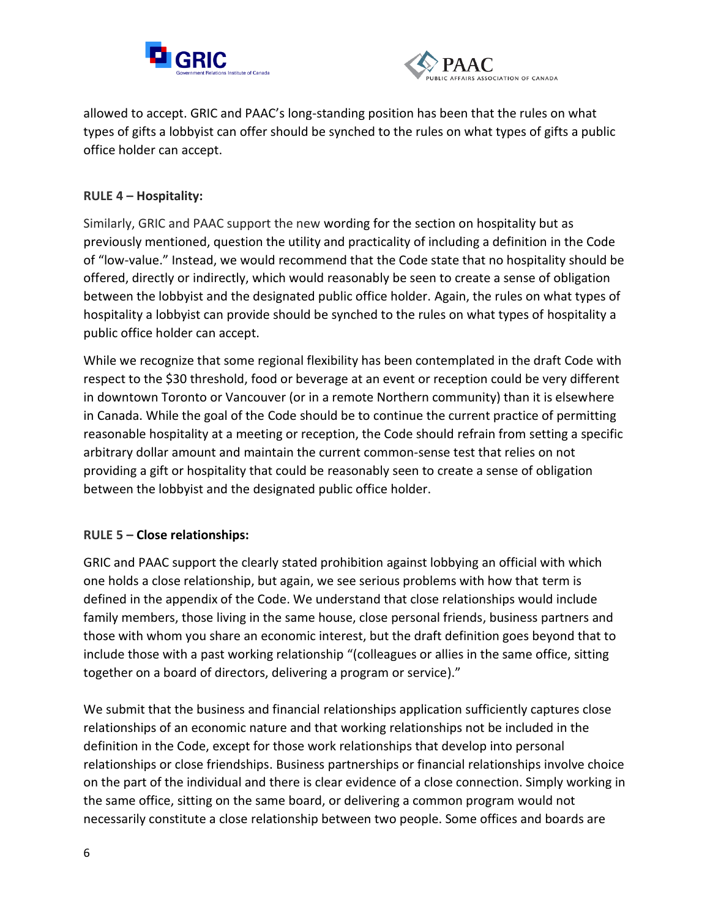



allowed to accept. GRIC and PAAC's long-standing position has been that the rules on what types of gifts a lobbyist can offer should be synched to the rules on what types of gifts a public office holder can accept.

## **RULE 4 – Hospitality:**

Similarly, GRIC and PAAC support the new wording for the section on hospitality but as previously mentioned, question the utility and practicality of including a definition in the Code of "low-value." Instead, we would recommend that the Code state that no hospitality should be offered, directly or indirectly, which would reasonably be seen to create a sense of obligation between the lobbyist and the designated public office holder. Again, the rules on what types of hospitality a lobbyist can provide should be synched to the rules on what types of hospitality a public office holder can accept.

While we recognize that some regional flexibility has been contemplated in the draft Code with respect to the \$30 threshold, food or beverage at an event or reception could be very different in downtown Toronto or Vancouver (or in a remote Northern community) than it is elsewhere in Canada. While the goal of the Code should be to continue the current practice of permitting reasonable hospitality at a meeting or reception, the Code should refrain from setting a specific arbitrary dollar amount and maintain the current common-sense test that relies on not providing a gift or hospitality that could be reasonably seen to create a sense of obligation between the lobbyist and the designated public office holder.

### **RULE 5 – Close relationships:**

GRIC and PAAC support the clearly stated prohibition against lobbying an official with which one holds a close relationship, but again, we see serious problems with how that term is defined in the appendix of the Code. We understand that close relationships would include family members, those living in the same house, close personal friends, business partners and those with whom you share an economic interest, but the draft definition goes beyond that to include those with a past working relationship "(colleagues or allies in the same office, sitting together on a board of directors, delivering a program or service)."

We submit that the business and financial relationships application sufficiently captures close relationships of an economic nature and that working relationships not be included in the definition in the Code, except for those work relationships that develop into personal relationships or close friendships. Business partnerships or financial relationships involve choice on the part of the individual and there is clear evidence of a close connection. Simply working in the same office, sitting on the same board, or delivering a common program would not necessarily constitute a close relationship between two people. Some offices and boards are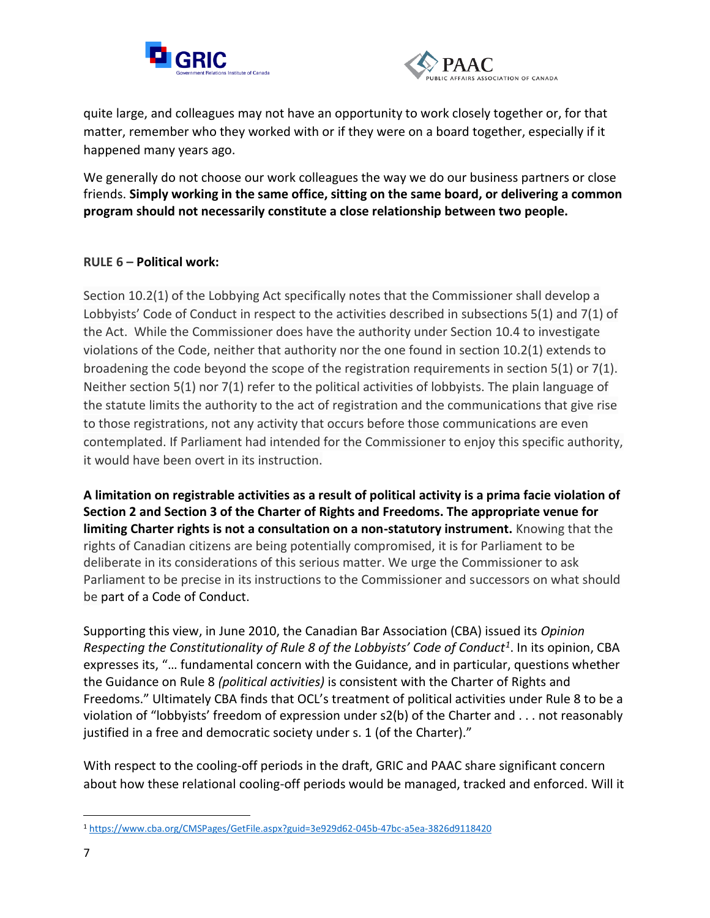



quite large, and colleagues may not have an opportunity to work closely together or, for that matter, remember who they worked with or if they were on a board together, especially if it happened many years ago.

We generally do not choose our work colleagues the way we do our business partners or close friends. **Simply working in the same office, sitting on the same board, or delivering a common program should not necessarily constitute a close relationship between two people.**

## **RULE 6 – Political work:**

Section 10.2(1) of the Lobbying Act specifically notes that the Commissioner shall develop a Lobbyists' Code of Conduct in respect to the activities described in subsections 5(1) and 7(1) of the Act. While the Commissioner does have the authority under Section 10.4 to investigate violations of the Code, neither that authority nor the one found in section 10.2(1) extends to broadening the code beyond the scope of the registration requirements in section 5(1) or 7(1). Neither section 5(1) nor 7(1) refer to the political activities of lobbyists. The plain language of the statute limits the authority to the act of registration and the communications that give rise to those registrations, not any activity that occurs before those communications are even contemplated. If Parliament had intended for the Commissioner to enjoy this specific authority, it would have been overt in its instruction.

**A limitation on registrable activities as a result of political activity is a prima facie violation of Section 2 and Section 3 of the Charter of Rights and Freedoms. The appropriate venue for limiting Charter rights is not a consultation on a non-statutory instrument.** Knowing that the rights of Canadian citizens are being potentially compromised, it is for Parliament to be deliberate in its considerations of this serious matter. We urge the Commissioner to ask Parliament to be precise in its instructions to the Commissioner and successors on what should be part of a Code of Conduct.

Supporting this view, in June 2010, the Canadian Bar Association (CBA) issued its *Opinion Respecting the Constitutionality of Rule 8 of the Lobbyists' Code of Conduct<sup>1</sup>* . In its opinion, CBA expresses its, "… fundamental concern with the Guidance, and in particular, questions whether the Guidance on Rule 8 *(political activities)* is consistent with the Charter of Rights and Freedoms." Ultimately CBA finds that OCL's treatment of political activities under Rule 8 to be a violation of "lobbyists' freedom of expression under s2(b) of the Charter and . . . not reasonably justified in a free and democratic society under s. 1 (of the Charter)."

With respect to the cooling-off periods in the draft, GRIC and PAAC share significant concern about how these relational cooling-off periods would be managed, tracked and enforced. Will it

<sup>1</sup> <https://www.cba.org/CMSPages/GetFile.aspx?guid=3e929d62-045b-47bc-a5ea-3826d9118420>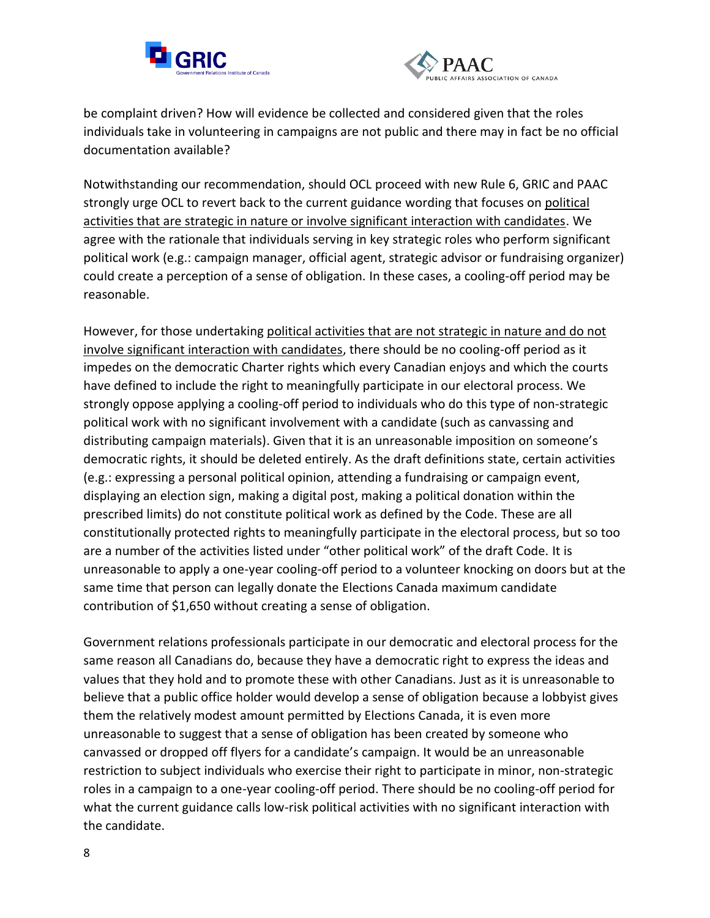



be complaint driven? How will evidence be collected and considered given that the roles individuals take in volunteering in campaigns are not public and there may in fact be no official documentation available?

Notwithstanding our recommendation, should OCL proceed with new Rule 6, GRIC and PAAC strongly urge OCL to revert back to the current guidance wording that focuses on political activities that are strategic in nature or involve significant interaction with candidates. We agree with the rationale that individuals serving in key strategic roles who perform significant political work (e.g.: campaign manager, official agent, strategic advisor or fundraising organizer) could create a perception of a sense of obligation. In these cases, a cooling-off period may be reasonable.

However, for those undertaking political activities that are not strategic in nature and do not involve significant interaction with candidates, there should be no cooling-off period as it impedes on the democratic Charter rights which every Canadian enjoys and which the courts have defined to include the right to meaningfully participate in our electoral process. We strongly oppose applying a cooling-off period to individuals who do this type of non-strategic political work with no significant involvement with a candidate (such as canvassing and distributing campaign materials). Given that it is an unreasonable imposition on someone's democratic rights, it should be deleted entirely. As the draft definitions state, certain activities (e.g.: expressing a personal political opinion, attending a fundraising or campaign event, displaying an election sign, making a digital post, making a political donation within the prescribed limits) do not constitute political work as defined by the Code. These are all constitutionally protected rights to meaningfully participate in the electoral process, but so too are a number of the activities listed under "other political work" of the draft Code. It is unreasonable to apply a one-year cooling-off period to a volunteer knocking on doors but at the same time that person can legally donate the Elections Canada maximum candidate contribution of \$1,650 without creating a sense of obligation.

Government relations professionals participate in our democratic and electoral process for the same reason all Canadians do, because they have a democratic right to express the ideas and values that they hold and to promote these with other Canadians. Just as it is unreasonable to believe that a public office holder would develop a sense of obligation because a lobbyist gives them the relatively modest amount permitted by Elections Canada, it is even more unreasonable to suggest that a sense of obligation has been created by someone who canvassed or dropped off flyers for a candidate's campaign. It would be an unreasonable restriction to subject individuals who exercise their right to participate in minor, non-strategic roles in a campaign to a one-year cooling-off period. There should be no cooling-off period for what the current guidance calls low-risk political activities with no significant interaction with the candidate.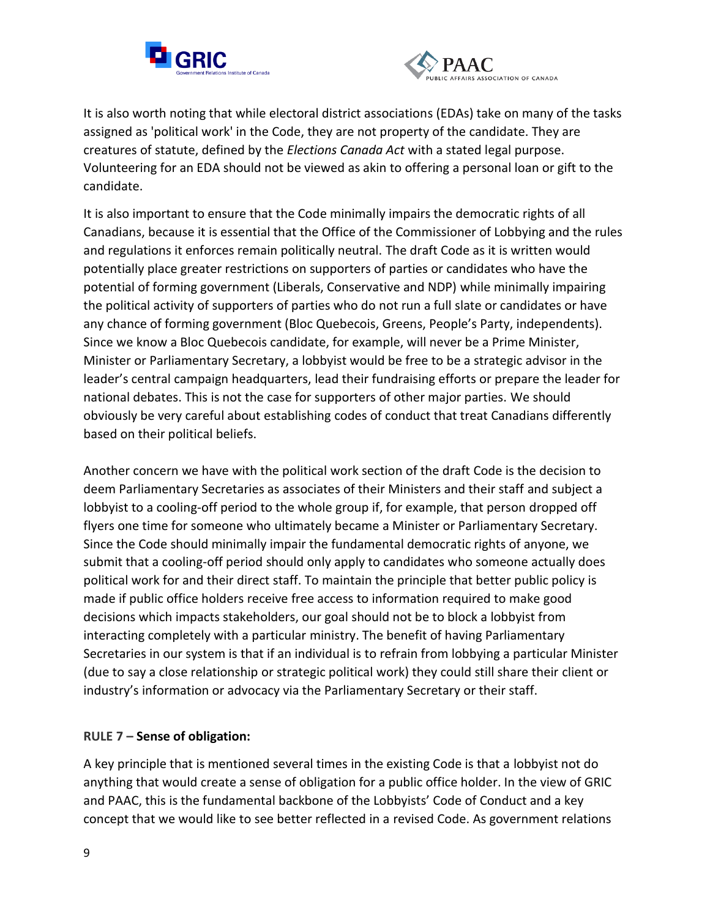



It is also worth noting that while electoral district associations (EDAs) take on many of the tasks assigned as 'political work' in the Code, they are not property of the candidate. They are creatures of statute, defined by the *Elections Canada Act* with a stated legal purpose. Volunteering for an EDA should not be viewed as akin to offering a personal loan or gift to the candidate.

It is also important to ensure that the Code minimally impairs the democratic rights of all Canadians, because it is essential that the Office of the Commissioner of Lobbying and the rules and regulations it enforces remain politically neutral. The draft Code as it is written would potentially place greater restrictions on supporters of parties or candidates who have the potential of forming government (Liberals, Conservative and NDP) while minimally impairing the political activity of supporters of parties who do not run a full slate or candidates or have any chance of forming government (Bloc Quebecois, Greens, People's Party, independents). Since we know a Bloc Quebecois candidate, for example, will never be a Prime Minister, Minister or Parliamentary Secretary, a lobbyist would be free to be a strategic advisor in the leader's central campaign headquarters, lead their fundraising efforts or prepare the leader for national debates. This is not the case for supporters of other major parties. We should obviously be very careful about establishing codes of conduct that treat Canadians differently based on their political beliefs.

Another concern we have with the political work section of the draft Code is the decision to deem Parliamentary Secretaries as associates of their Ministers and their staff and subject a lobbyist to a cooling-off period to the whole group if, for example, that person dropped off flyers one time for someone who ultimately became a Minister or Parliamentary Secretary. Since the Code should minimally impair the fundamental democratic rights of anyone, we submit that a cooling-off period should only apply to candidates who someone actually does political work for and their direct staff. To maintain the principle that better public policy is made if public office holders receive free access to information required to make good decisions which impacts stakeholders, our goal should not be to block a lobbyist from interacting completely with a particular ministry. The benefit of having Parliamentary Secretaries in our system is that if an individual is to refrain from lobbying a particular Minister (due to say a close relationship or strategic political work) they could still share their client or industry's information or advocacy via the Parliamentary Secretary or their staff.

### **RULE 7 – Sense of obligation:**

A key principle that is mentioned several times in the existing Code is that a lobbyist not do anything that would create a sense of obligation for a public office holder. In the view of GRIC and PAAC, this is the fundamental backbone of the Lobbyists' Code of Conduct and a key concept that we would like to see better reflected in a revised Code. As government relations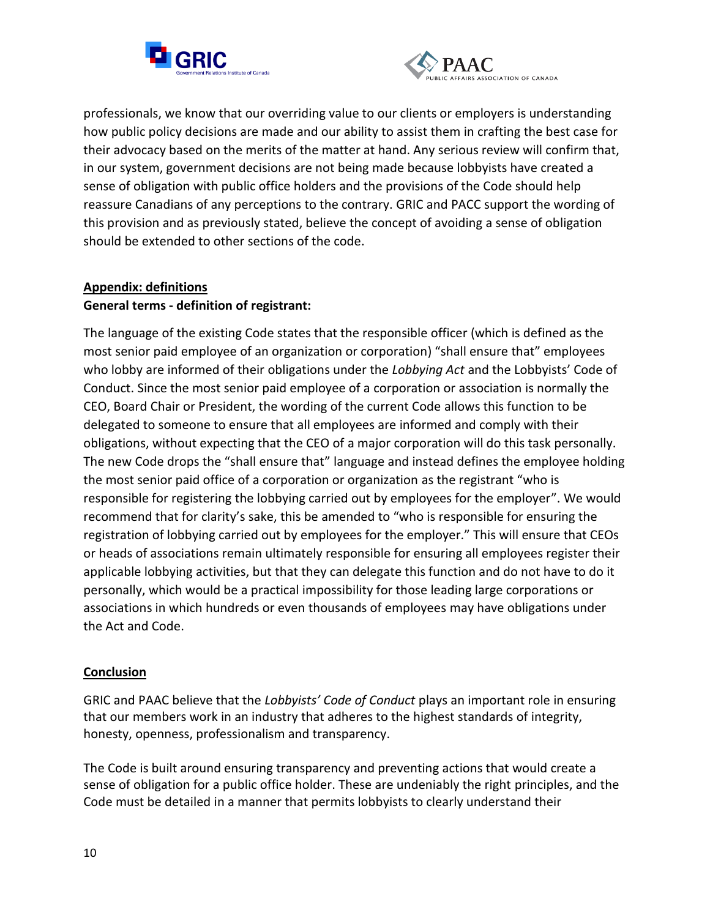



professionals, we know that our overriding value to our clients or employers is understanding how public policy decisions are made and our ability to assist them in crafting the best case for their advocacy based on the merits of the matter at hand. Any serious review will confirm that, in our system, government decisions are not being made because lobbyists have created a sense of obligation with public office holders and the provisions of the Code should help reassure Canadians of any perceptions to the contrary. GRIC and PACC support the wording of this provision and as previously stated, believe the concept of avoiding a sense of obligation should be extended to other sections of the code.

# **Appendix: definitions General terms - definition of registrant:**

The language of the existing Code states that the responsible officer (which is defined as the most senior paid employee of an organization or corporation) "shall ensure that" employees who lobby are informed of their obligations under the *Lobbying Act* and the Lobbyists' Code of Conduct. Since the most senior paid employee of a corporation or association is normally the CEO, Board Chair or President, the wording of the current Code allows this function to be delegated to someone to ensure that all employees are informed and comply with their obligations, without expecting that the CEO of a major corporation will do this task personally. The new Code drops the "shall ensure that" language and instead defines the employee holding the most senior paid office of a corporation or organization as the registrant "who is responsible for registering the lobbying carried out by employees for the employer". We would recommend that for clarity's sake, this be amended to "who is responsible for ensuring the registration of lobbying carried out by employees for the employer." This will ensure that CEOs or heads of associations remain ultimately responsible for ensuring all employees register their applicable lobbying activities, but that they can delegate this function and do not have to do it personally, which would be a practical impossibility for those leading large corporations or associations in which hundreds or even thousands of employees may have obligations under the Act and Code.

# **Conclusion**

GRIC and PAAC believe that the *Lobbyists' Code of Conduct* plays an important role in ensuring that our members work in an industry that adheres to the highest standards of integrity, honesty, openness, professionalism and transparency.

The Code is built around ensuring transparency and preventing actions that would create a sense of obligation for a public office holder. These are undeniably the right principles, and the Code must be detailed in a manner that permits lobbyists to clearly understand their